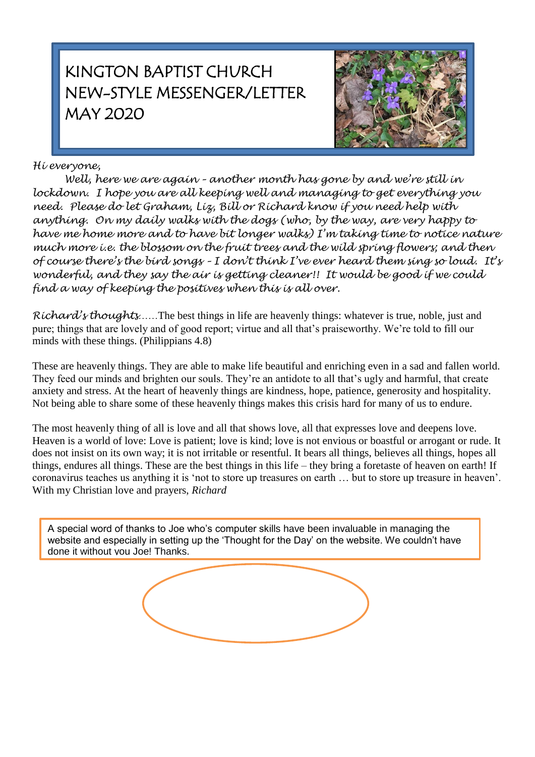# KINGTON BAPTIST CHURCH NEW-STYLE MESSENGER/LETTER MAY 2020



# *Hi everyone,*

*Well, here we are again – another month has gone by and we're still in lockdown. I hope you are all keeping well and managing to get everything you need. Please do let Graham, Liz, Bill or Richard know if you need help with anything. On my daily walks with the dogs (who, by the way, are very happy to have me home more and to have bit longer walks) I'm taking time to notice nature much more i.e. the blossom on the fruit trees and the wild spring flowers; and then of course there's the bird songs – I don't think I've ever heard them sing so loud. It's wonderful, and they say the air is getting cleaner!! It would be good if we could find a way of keeping the positives when this is all over.*

*Richard's thoughts……*The best things in life are heavenly things: whatever is true, noble, just and pure; things that are lovely and of good report; virtue and all that's praiseworthy. We're told to fill our minds with these things. (Philippians 4.8)

These are heavenly things. They are able to make life beautiful and enriching even in a sad and fallen world. They feed our minds and brighten our souls. They're an antidote to all that's ugly and harmful, that create anxiety and stress. At the heart of heavenly things are kindness, hope, patience, generosity and hospitality. Not being able to share some of these heavenly things makes this crisis hard for many of us to endure.

The most heavenly thing of all is love and all that shows love, all that expresses love and deepens love. Heaven is a world of love: Love is patient; love is kind; love is not envious or boastful or arrogant or rude. It does not insist on its own way; it is not irritable or resentful. It bears all things, believes all things, hopes all things, endures all things. These are the best things in this life – they bring a foretaste of heaven on earth! If coronavirus teaches us anything it is 'not to store up treasures on earth … but to store up treasure in heaven'. With my Christian love and prayers, *Richard*

A special word of thanks to Joe who's computer skills have been invaluable in managing the website and especially in setting up the 'Thought for the Day' on the website. We couldn't have done it without you Joe! Thanks.

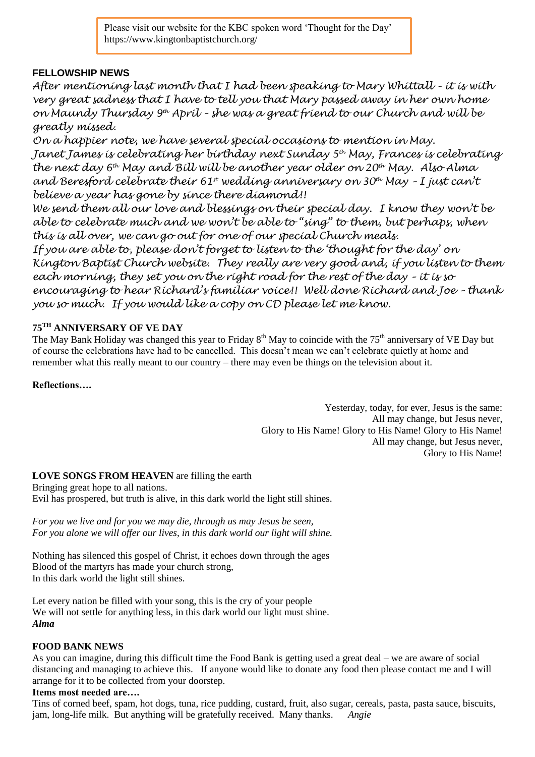Please visit our website for the KBC spoken word 'Thought for the Day' https://www.kingtonbaptistchurch.org/

## **FELLOWSHIP NEWS**

*After mentioning last month that I had been speaking to Mary Whittall – it is with very great sadness that I have to tell you that Mary passed away in her own home on Maundy Thursday 9 th April – she was a great friend to our Church and will be greatly missed.*

*On a happier note, we have several special occasions to mention in May. Janet James is celebrating her birthday next Sunday 5th May, Frances is celebrating the next day 6th May and Bill will be another year older on 20th May. Also Alma and Beresford celebrate their 61st wedding anniversary on 30th May – I just can't believe a year has gone by since there diamond!!* 

*We send them all our love and blessings on their special day. I know they won't be able to celebrate much and we won't be able to "sing" to them, but perhaps, when this is all over, we can go out for one of our special Church meals.*

*If you are able to, please don't forget to listen to the 'thought for the day' on Kington Baptist Church website. They really are very good and, if you listen to them each morning, they set you on the right road for the rest of the day – it is so encouraging to hear Richard's familiar voice!! Well done Richard and Joe – thank you so much. If you would like a copy on CD please let me know.*

## **75TH ANNIVERSARY OF VE DAY**

The May Bank Holiday was changed this year to Friday  $8<sup>th</sup>$  May to coincide with the 75<sup>th</sup> anniversary of VE Day but of course the celebrations have had to be cancelled. This doesn't mean we can't celebrate quietly at home and remember what this really meant to our country – there may even be things on the television about it.

## **Reflections….**

Yesterday, today, for ever, Jesus is the same: All may change, but Jesus never, Glory to His Name! Glory to His Name! Glory to His Name! All may change, but Jesus never, Glory to His Name!

## **LOVE SONGS FROM HEAVEN** are filling the earth

Bringing great hope to all nations. Evil has prospered, but truth is alive, in this dark world the light still shines.

*For you we live and for you we may die, through us may Jesus be seen, For you alone we will offer our lives, in this dark world our light will shine.*

Nothing has silenced this gospel of Christ, it echoes down through the ages Blood of the martyrs has made your church strong, In this dark world the light still shines.

Let every nation be filled with your song, this is the cry of your people We will not settle for anything less, in this dark world our light must shine. *Alma*

#### **FOOD BANK NEWS**

As you can imagine, during this difficult time the Food Bank is getting used a great deal – we are aware of social distancing and managing to achieve this. If anyone would like to donate any food then please contact me and I will arrange for it to be collected from your doorstep.

#### **Items most needed are….**

Tins of corned beef, spam, hot dogs, tuna, rice pudding, custard, fruit, also sugar, cereals, pasta, pasta sauce, biscuits, jam, long-life milk. But anything will be gratefully received. Many thanks. *Angie*